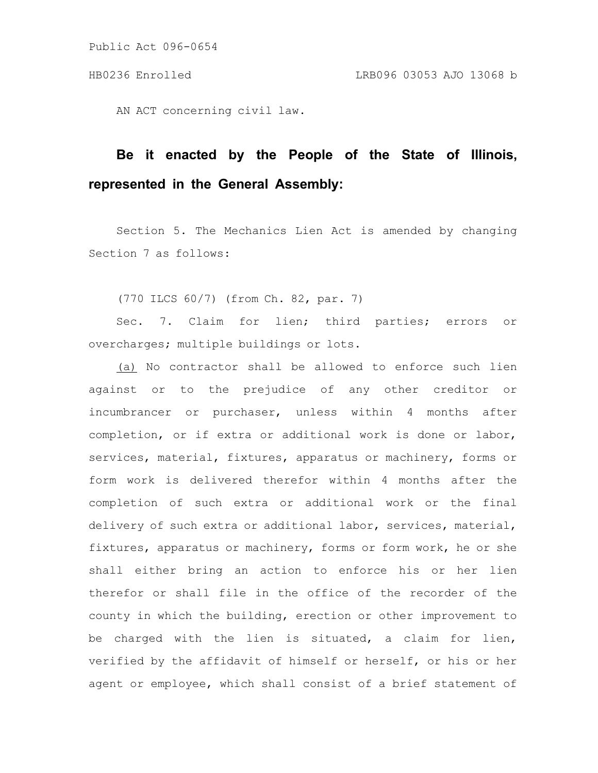Public Act 096-0654

AN ACT concerning civil law.

## **Be it enacted by the People of the State of Illinois, represented in the General Assembly:**

Section 5. The Mechanics Lien Act is amended by changing Section 7 as follows:

(770 ILCS 60/7) (from Ch. 82, par. 7)

Sec. 7. Claim for lien; third parties; errors or overcharges; multiple buildings or lots.

(a) No contractor shall be allowed to enforce such lien against or to the prejudice of any other creditor or incumbrancer or purchaser, unless within 4 months after completion, or if extra or additional work is done or labor, services, material, fixtures, apparatus or machinery, forms or form work is delivered therefor within 4 months after the completion of such extra or additional work or the final delivery of such extra or additional labor, services, material, fixtures, apparatus or machinery, forms or form work, he or she shall either bring an action to enforce his or her lien therefor or shall file in the office of the recorder of the county in which the building, erection or other improvement to be charged with the lien is situated, a claim for lien, verified by the affidavit of himself or herself, or his or her agent or employee, which shall consist of a brief statement of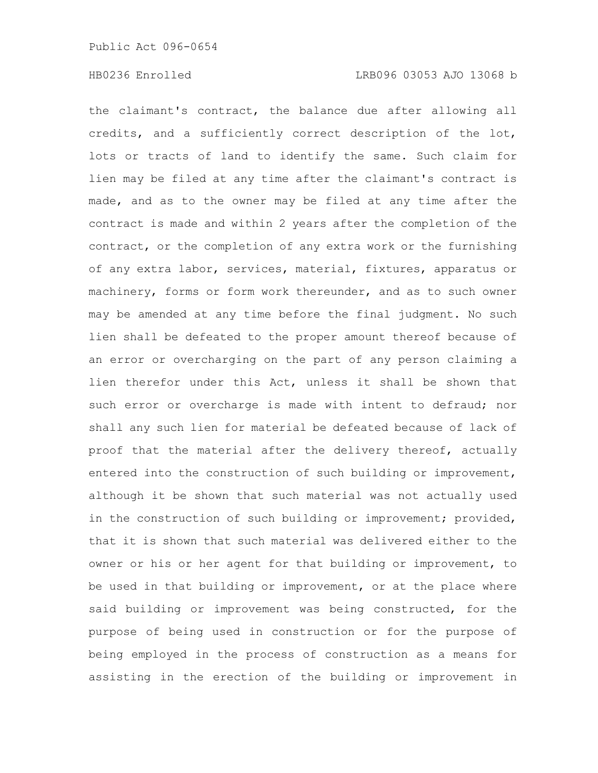the claimant's contract, the balance due after allowing all credits, and a sufficiently correct description of the lot, lots or tracts of land to identify the same. Such claim for lien may be filed at any time after the claimant's contract is made, and as to the owner may be filed at any time after the contract is made and within 2 years after the completion of the contract, or the completion of any extra work or the furnishing of any extra labor, services, material, fixtures, apparatus or machinery, forms or form work thereunder, and as to such owner may be amended at any time before the final judgment. No such lien shall be defeated to the proper amount thereof because of an error or overcharging on the part of any person claiming a lien therefor under this Act, unless it shall be shown that such error or overcharge is made with intent to defraud; nor shall any such lien for material be defeated because of lack of proof that the material after the delivery thereof, actually entered into the construction of such building or improvement, although it be shown that such material was not actually used in the construction of such building or improvement; provided, that it is shown that such material was delivered either to the owner or his or her agent for that building or improvement, to be used in that building or improvement, or at the place where said building or improvement was being constructed, for the purpose of being used in construction or for the purpose of being employed in the process of construction as a means for assisting in the erection of the building or improvement in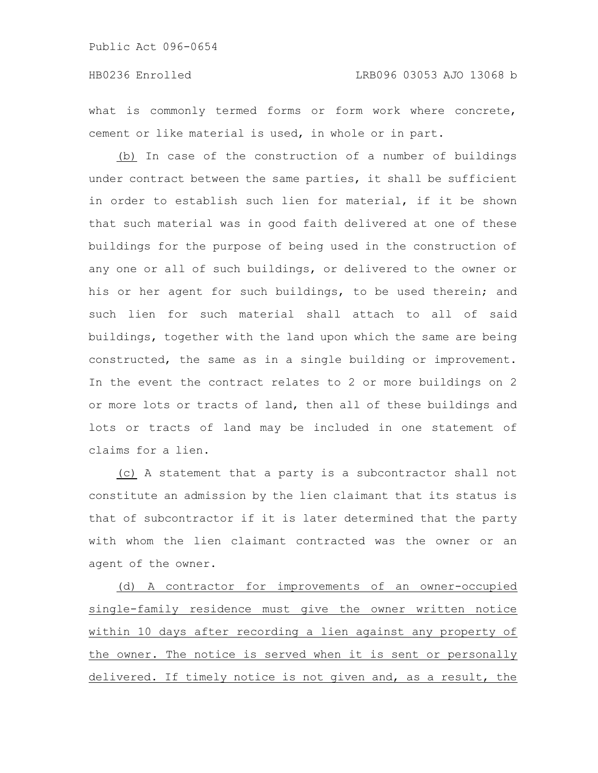## HB0236 Enrolled LRB096 03053 AJO 13068 b

what is commonly termed forms or form work where concrete, cement or like material is used, in whole or in part.

(b) In case of the construction of a number of buildings under contract between the same parties, it shall be sufficient in order to establish such lien for material, if it be shown that such material was in good faith delivered at one of these buildings for the purpose of being used in the construction of any one or all of such buildings, or delivered to the owner or his or her agent for such buildings, to be used therein; and such lien for such material shall attach to all of said buildings, together with the land upon which the same are being constructed, the same as in a single building or improvement. In the event the contract relates to 2 or more buildings on 2 or more lots or tracts of land, then all of these buildings and lots or tracts of land may be included in one statement of claims for a lien.

(c) A statement that a party is a subcontractor shall not constitute an admission by the lien claimant that its status is that of subcontractor if it is later determined that the party with whom the lien claimant contracted was the owner or an agent of the owner.

(d) A contractor for improvements of an owner-occupied single-family residence must give the owner written notice within 10 days after recording a lien against any property of the owner. The notice is served when it is sent or personally delivered. If timely notice is not given and, as a result, the